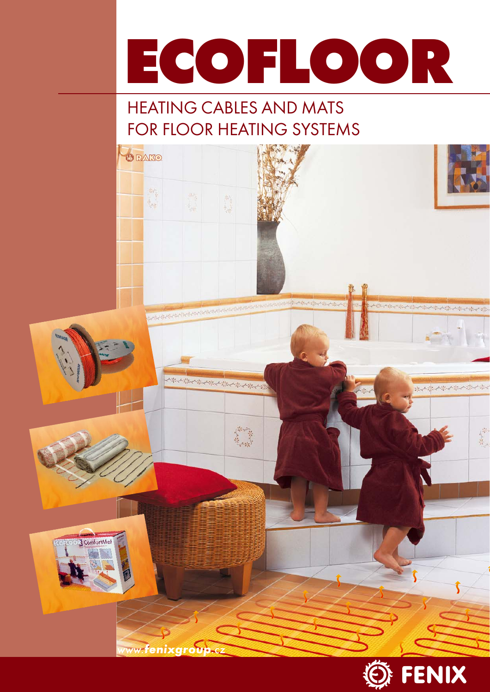

# HEATING CABLES AND MATS FOR FLOOR HEATING SYSTEMS



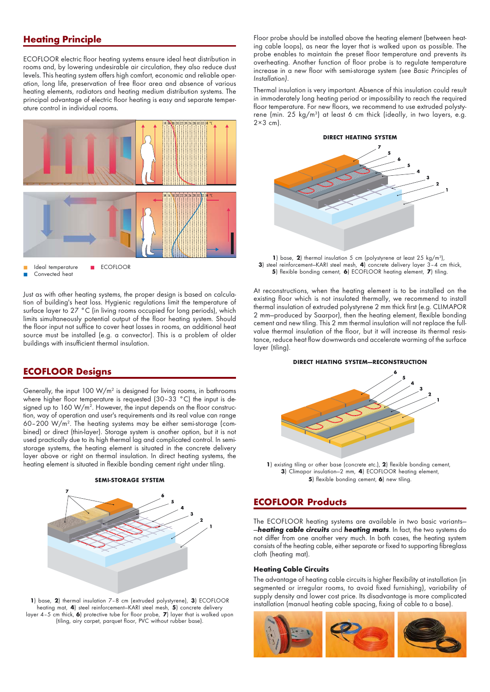# **Heating Principle**

ECOFLOOR electric floor heating systems ensure ideal heat distribution in rooms and, by lowering undesirable air circulation, they also reduce dust levels. This heating system offers high comfort, economic and reliable operation, long life, preservation of free floor area and absence of various heating elements, radiators and heating medium distribution systems. The principal advantage of electric floor heating is easy and separate temperature control in individual rooms.



Just as with other heating systems, the proper design is based on calculation of building's heat loss. Hygienic regulations limit the temperature of surface layer to 27 °C (in living rooms occupied for long periods), which limits simultaneously potential output of the floor heating system. Should the floor input not suffice to cover heat losses in rooms, an additional heat source must be installed (e.g. a convector). This is a problem of older buildings with insufficient thermal insulation.

## **ECOFLOOR Designs**

Generally, the input  $100 \, \mathrm{W/m^2}$  is designed for living rooms, in bathrooms where higher floor temperature is requested (30-33 °C) the input is designed up to  $160 \, \text{W/m}^2$ . However, the input depends on the floor construction, way of operation and user's requirements and its real value can range 60–200 W/m2. The heating systems may be either semi-storage (combined) or direct (thin-layer). Storage system is another option, but it is not used practically due to its high thermal lag and complicated control. In semistorage systems, the heating element is situated in the concrete delivery layer above or right on thermal insulation. In direct heating systems, the heating element is situated in flexible bonding cement right under tiling.



**1**) base, **2**) thermal insulation 7–8 cm (extruded polystyrene), **3**) ECOFLOOR heating mat, **4**) steel reinforcement—KARI steel mesh, **5**) concrete delivery layer 4–5 cm thick, **6**) protective tube for floor probe, **7**) layer that is walked upon (tiling, airy carpet, parquet floor, PVC without rubber base).

Floor probe should be installed above the heating element (between heating cable loops), as near the layer that is walked upon as possible. The probe enables to maintain the preset floor temperature and prevents its overheating. Another function of floor probe is to regulate temperature increase in a new floor with semi-storage system (see Basic Principles of Installation).

Thermal insulation is very important. Absence of this insulation could result in immoderately long heating period or impossibility to reach the required floor temperature. For new floors, we recommend to use extruded polystyrene (min. 25 kg/m<sup>3</sup>) at least 6 cm thick (ideally, in two layers, e.g.  $2\times3$  cm).



**1**) base, **2**) thermal insulation 5 cm (polystyrene at least 25 kg/m3 ), **3**) steel reinforcement—KARI steel mesh, **4**) concrete delivery layer 3–4 cm thick, **5**) flexible bonding cement, **6**) ECOFLOOR heating element, **7**) tiling.

At reconstructions, when the heating element is to be installed on the existing floor which is not insulated thermally, we recommend to install thermal insulation of extruded polystyrene 2 mm thick first (e.g. CLIMAPOR 2 mm—produced by Saarpor), then the heating element, flexible bonding cement and new tiling. This 2 mm thermal insulation will not replace the fullvalue thermal insulation of the floor, but it will increase its thermal resistance, reduce heat flow downwards and accelerate warming of the surface layer (tiling).

#### **DIRECT HEATING SYSTEM—RECONSTRUCTION**



**1**) existing tiling or other base (concrete etc.), **2**) flexible bonding cement, **3**) Climapor insulation—2 mm, **4**) ECOFLOOR heating element, **5**) flexible bonding cement, **6**) new tiling.

## **ECOFLOOR Products**

The ECOFLOOR heating systems are available in two basic variants— —**heating cable circuits** and **heating mats**. In fact, the two systems do not differ from one another very much. In both cases, the heating system consists of the heating cable, either separate or fixed to supporting fibreglass cloth (heating mat).

#### **Heating Cable Circuits**

The advantage of heating cable circuits is higher flexibility at installation (in segmented or irregular rooms, to avoid fixed furnishing), variability of supply density and lower cost price. Its disadvantage is more complicated installation (manual heating cable spacing, fixing of cable to a base).

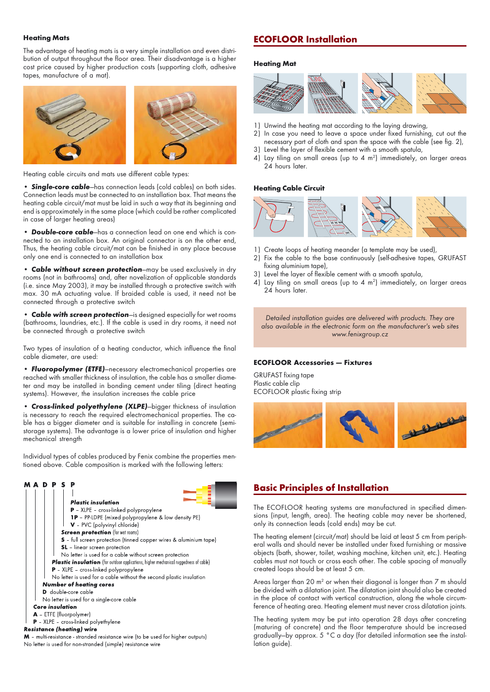#### **Heating Mats**

The advantage of heating mats is a very simple installation and even distribution of output throughout the floor area. Their disadvantage is a higher cost price caused by higher production costs (supporting cloth, adhesive tapes, manufacture of a mat).



Heating cable circuits and mats use different cable types:

**• Single-core cable**—has connection leads (cold cables) on both sides. Connection leads must be connected to an installation box. That means the heating cable circuit/mat must be laid in such a way that its beginning and end is approximately in the same place (which could be rather complicated in case of larger heating areas)

**• Double-core cable**—has a connection lead on one end which is connected to an installation box. An original connector is on the other end, Thus, the heating cable circuit/mat can be finished in any place because only one end is connected to an installation box

**• Cable without screen protection**—may be used exclusively in dry rooms (not in bathrooms) and, after novelization of applicable standards (i.e. since May 2003), it may be installed through a protective switch with max. 30 mA actuating value. If braided cable is used, it need not be connected through a protective switch

**• Cable with screen protection**—is designed especially for wet rooms (bathrooms, laundries, etc.). If the cable is used in dry rooms, it need not be connected through a protective switch

Two types of insulation of a heating conductor, which influence the final cable diameter, are used:

**• Fluoropolymer (ETFE)**—necessary electromechanical properties are reached with smaller thickness of insulation, the cable has a smaller diameter and may be installed in bonding cement under tiling (direct heating systems). However, the insulation increases the cable price

**• Cross-linked polyethylene (XLPE)**—bigger thickness of insulation is necessary to reach the required electromechanical properties. The cable has a bigger diameter and is suitable for installing in concrete (semistorage systems). The advantage is a lower price of insulation and higher mechanical strength

Individual types of cables produced by Fenix combine the properties mentioned above. Cable composition is marked with the following letters:

# **MADPSP**



# No letter is used for non-stranded (simple) resistance wire

## **ECOFLOOR Installation**

#### **Heating Mat**



- 1) Unwind the heating mat according to the laying drawing,
- In case you need to leave a space under fixed furnishing, cut out the necessary part of cloth and span the space with the cable (see fig. 2),
- 3) Level the layer of flexible cement with a smooth spatula,
- 4) Lay tiling on small areas (up to 4  $m<sup>2</sup>$ ) immediately, on larger areas 24 hours later.

### **Heating Cable Circuit**



- 1) Create loops of heating meander (a template may be used),
- 2) Fix the cable to the base continuously (self-adhesive tapes, GRUFAST fixing aluminium tape),
- 3) Level the layer of flexible cement with a smooth spatula,
- 4) Lay tiling on small areas (up to 4  $m<sup>2</sup>$ ) immediately, on larger areas 24 hours later.

Detailed installation guides are delivered with products. They are also available in the electronic form on the manufacturer's web sites www.fenixgroup.cz

#### **ECOFLOOR Accessories — Fixtures**

GRUFAST fixing tape Plastic cable clip ECOFLOOR plastic fixing strip



## **Basic Principles of Installation**

The ECOFLOOR heating systems are manufactured in specified dimensions (input, length, area). The heating cable may never be shortened, only its connection leads (cold ends) may be cut.

The heating element (circuit/mat) should be laid at least 5 cm from peripheral walls and should never be installed under fixed furnishing or massive objects (bath, shower, toilet, washing machine, kitchen unit, etc.). Heating cables must not touch or cross each other. The cable spacing of manually created loops should be at least 5 cm.

Areas larger than 20 m $^{\rm 2}$  or when their diagonal is longer than 7 m should be divided with a dilatation joint. The dilatation joint should also be created in the place of contact with vertical construction, along the whole circumference of heating area. Heating element must never cross dilatation joints.

The heating system may be put into operation 28 days after concreting (maturing of concrete) and the floor temperature should be increased gradually—by approx. 5 °C a day (for detailed information see the installation guide).